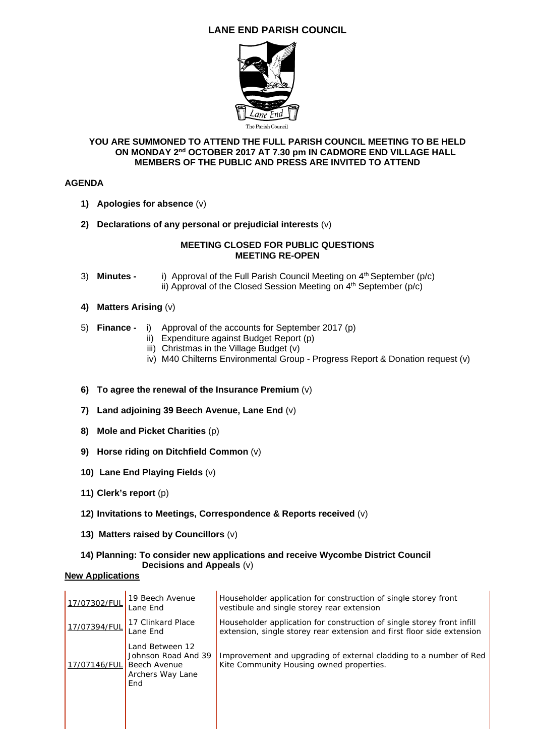# **LANE END PARISH COUNCIL**



### **YOU ARE SUMMONED TO ATTEND THE FULL PARISH COUNCIL MEETING TO BE HELD ON MONDAY 2nd OCTOBER 2017 AT 7.30 pm IN CADMORE END VILLAGE HALL MEMBERS OF THE PUBLIC AND PRESS ARE INVITED TO ATTEND**

# **AGENDA**

- **1) Apologies for absence** (v)
- **2) Declarations of any personal or prejudicial interests** (v)

## **MEETING CLOSED FOR PUBLIC QUESTIONS MEETING RE-OPEN**

- 3) **Minutes -** i) Approval of the Full Parish Council Meeting on 4<sup>th</sup> September (p/c) ii) Approval of the Closed Session Meeting on  $4<sup>th</sup>$  September (p/c)
- **4) Matters Arising** (v)
- 5) **Finance** i) Approval of the accounts for September 2017 (p)
	- ii) Expenditure against Budget Report (p)
	- iii) Christmas in the Village Budget (v)
	- iv) M40 Chilterns Environmental Group Progress Report & Donation request (v)
- **6) To agree the renewal of the Insurance Premium** (v)
- **7) Land adjoining 39 Beech Avenue, Lane End** (v)
- **8) Mole and Picket Charities** (p)
- **9) Horse riding on Ditchfield Common** (v)
- **10) Lane End Playing Fields** (v)
- **11) Clerk's report** (p)
- **12) Invitations to Meetings, Correspondence & Reports received** (v)
- **13) Matters raised by Councillors** (v)

### **14) Planning: To consider new applications and receive Wycombe District Council Decisions and Appeals** (v)

# **New Applications**

| 17/07302/FUL | 19 Beech Avenue<br>Lane End                                                              | Householder application for construction of single storey front<br>vestibule and single storey rear extension                                    |
|--------------|------------------------------------------------------------------------------------------|--------------------------------------------------------------------------------------------------------------------------------------------------|
| 17/07394/FUL | 17 Clinkard Place<br>Lane End                                                            | Householder application for construction of single storey front infill<br>extension, single storey rear extension and first floor side extension |
| 17/07146/FUL | Land Between 12<br>Johnson Road And 39<br><b>Beech Avenue</b><br>Archers Way Lane<br>End | Improvement and upgrading of external cladding to a number of Red<br>Kite Community Housing owned properties.                                    |
|              |                                                                                          |                                                                                                                                                  |